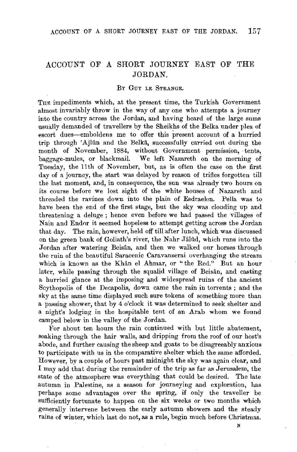## ACCOUNT OF A SHORT JOURNEY EAST OF THE JORDAN.

## BY GUY LE STRANGE.

THE impediments which, at the present time, the Turkish Government almost invariably throw in the way of any one who attempts a journey into the country across the Jordan, and having heard of the large sums usually demanded of travellers by the Sheikhs of the Belka under plea of escort dues-emboldens me to offer this present account of a hurried trip through 'Ajlûn and the Belka, successfully carried out during the month of November, 1884, without Government permission, tents, baggage-mules, or blackmail. We left Nazareth on the morning of Tuesday, the 11th of November, but, as is often the case on the first day of a journey, the start was delayed by reason of trifles forgotten till the last moment, and, in consequence, the sun was already two hours on its course before we lost sight of the white houses of Nazareth and threaded the ravines down into the plain of Esdraelon. Pella was to have been the end of the first stage, but the sky was clouding up and threatening a deluge ; hence even before we had passed the villages of Nain and Endor it seemed hopeless to attempt getting across the Jordan that day. The rain, however, held off till after lunch, which was discussed on the green bank of Goliath's river, the Nahr Jalud, which runs into the Jordan after watering Beisân, and then we walked our horses through the ruin of the beautiful Saracenic Caravanserai overhanging the stream which is known as the Khân el Ahmar, or "the Red." But an hour later, while passing through the squalid village of Beisân, and casting a hurried glance at the imposing and widespread ruins of the ancient Scythopolis of the Decapolis, down came the rain in torrents ; and the sky at the same time displayed such sure tokens of something more than a passing shower, that by 4 o'clock it was determined to seek shelter and a night's lodging in the hospitable tent of an Arab whom we found camped below in the valley of the Jordan.

For about ten hours the rain continued with but little abatement, soaking through the hair walls, and dripping from the roof of our host's abode, and further causing the sheep and goats to be disagreeably anxious to participate with us in the comparative shelter which the same afforded. However, by a couple of hours past midnight the sky was again clear, and I may add that during the remainder of the trip as far as Jerusalem, the state of the atmosphere was everything that could be desired. The late autumn in Palestine, as a season for journeying and exploration, has perhaps some advantages over the spring, if only the traveller be sufficiently fortunate to happen on the six weeks or two months which generally intervene between the early autumn showers and the steady rains of winter, which last do not, as a rule, begin much before Christmas.

N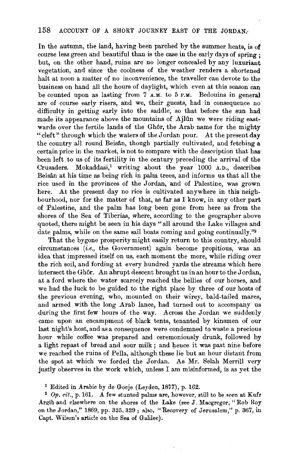In the autumn, the land, having been parched by the summer heats, is of course less green and beautiful than is the case in the early days of spring ; but, on the other hand, ruins are no longer concealed by any luxuriant vegetation, and since the coolness of the weather renders a shortened halt at noon a matter of no inconvenience, the traveller can devote to the business on hand all the hours of daylight, which even at this season can be counted upon as lasting from 7 A.M. to 5 P.M. Bedouins in general are of course early risers, and we, their guests, had in consequence no difficulty in getting early into the saddle, so that before the sun had made its appearance above the mountains of Ajlûn we were riding eastwards over the fertile lands of the Ghôr, the Arab name for the mighty "cleft" through which the waters of the Jordan pour. At the present day the country all round Beisan, though partially cultivated, and fetching a certain price in the market, is not to compare with the description that has· been left to us of its fertility in the century preceding the arrival of the Crusaders. Mokaddasi/ writing about the year 1000 A.D., describes Beisan at his time as being rich in palm trees, and informs us that all the rice used in the provinces of the Jordan, and of Palestine, was grown here. At the present day no rice is cultivated anywhere in this neighbourhood, nor for the matter of that, as far as I know, in any other part of Palestine, and the palm has long been gone from here as from the shores of the Sea of Tiberias, where, according to the geographer above quoted, there might be seen in his days "all around the Lake villages and date palms, while on the same sail boats coming and going continually."<sup>2</sup>

That the bygone prosperity might easily return to this country, should circumstances *(i.e.,* the Government) again become propitious, was an idea that impressed itself on us, each moment the more, while riding over the rich soil, and fording at every hundred yards the streams which here intersect the Ghôr. An abrupt descent brought us in an hour to the Jordan, at a ford where the water scarcely reached the bellies of our horses, and we had the luck to be guided to the right place by three of our hosts of the previous evening, who, mounted on their wirey, bald-tailed mares, and armed with the long Arab lance, had turned out to accompany us during the first few hours of the way. Across the Jordan we suddenly came upon an encampment of black tents, tenanted by kinsmen of our last night's host, and as a consequence were condemned to waste a precious hour while coffee was prepared and ceremoniously drunk, followed by a light repast of bread and sour milk; and hence it was past nine before we reached the ruins of Pella, although these lie but an hour distarit from the spot at which we forded the Jordan. As Mr. Selah Merrill very justly observes in the work which, unless I am misinformed, is as yet the

1 Edited in Arabic by de Goeje (Leyden, 1877), p. 162.<br><sup>2</sup> Op. *cit.*, p. 161. A few stunted palms are, however, still to be seen at Kufr Argib and elsewhere on the shores of the Lake (see J. Macgregor, "Rob Roy on the Jordan," 1869, pp. 325, 329; also, "Recovery of Jerusalem," p. 367, in Capt. Wilson's artic!e on the Sea of Galilee).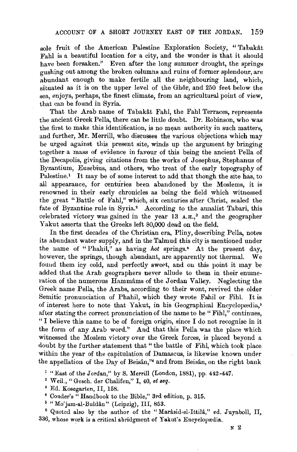sole fruit of the American Palestine Exploration Society, "Tabakat Fah! is a beautiful location for a city, and the wonder is that it should have been forsaken." Even after the long summer drought, the springs gushing out among the broken columns and ruins of former splendour, are abundant enough to make fertile all the neighbouring land, which, situated as it is on the upper level of the Gh6r, and 250 feet below the sea, enjoys, perhaps, the finest climate, from an agricultural point of view, that can be found in Syria.

That the Arab name of Tabakat Fahl, the Fahl Terraces, represents the ancient Greek Pella, there can be little doubt. Dr. Robinson, who was the first to make this identification, is no mean authority in such matters, and further, Mr. Merrill, who discusses the various objections which may be urged against this present site, winds up the argument by bringing together a mass of evidence in favour of this being the ancient Pella of the Decapolis, giving citations from the works of Josephus, Stephanus of Byzantium, Eusebius, and others, who treat of the early topography of Palestine.<sup>1</sup> It may be of some interest to add that though the site has, to all appearance, for centuries been abandoned by the Moslems, it is renowned in their early chronicles as being the field which witnessed the great "Battle of Fah!," which, six centuries after Christ, sealed the fate of Byzantine rule in Syria.<sup>2</sup> According to the annalist Tabari, this celebrated victory was gained in the year 13 A.H.,3 and the geographer Yakut asserts that the Greeks left 80,000 dead on the field.

In the first decades of the Christian era, Pliny, describing Pella., notes its abundant water supply, and in the Talmud this city is mentioned under the uame of "Phahil," as having *hot* springs.• At the present day, however, the springs, though abundant, are apparently not thermal. We found them icy cold, and perfectly sweet, and on this point it may be added that the Arab geographers never allude to them in their enumeration of the numerous Hammâms of the Jordan Valley. Neglecting the Greek name Pella, the Arabs, according to their wont, revived the older Semitic pronunciation of Phahil, which they wrote Fahil or Fihl. It is of interest here to note that Yakut, in his Geographical Encyclopredia,• after stating the correct pronunciation of the name to be " Fihl," continues, " I believe this name to be of foreign origin, since I do not recognise in it the form of any Arab word." And that this Pella was the place which witnessed the Moslem victory over the Greek forces, is placed beyond a doubt by the further statement that "the battle of Fihl, which took place within the year of the capitulation of Damascus, is likewise known under the appellation of the Day of Beisân," and from Beisân, on the right bank

- 
- 
- 

<sup>3</sup> Ed. Kosegarten, II, 158.<br>
<sup>4</sup> Conder's "Handbook to the Bible," 3rd edition, p. 315.<br>
<sup>5</sup> "Mo'jam-al-Buldân" (Leipzig), III, 853.<br>
<sup>6</sup> Quoted also by the author of the "Marâsid-el-Ittilâ," ed. Juynboll, II, 336, whose work is a critical abridgment of Yakut's Encyclopædia.

<sup>1 &</sup>quot;East of the Jordan," by S. Merrill (London, 1881), pp. 442-447.

<sup>2</sup> Weil., "Gesch. der Chalifen," I, 40, *et seq.*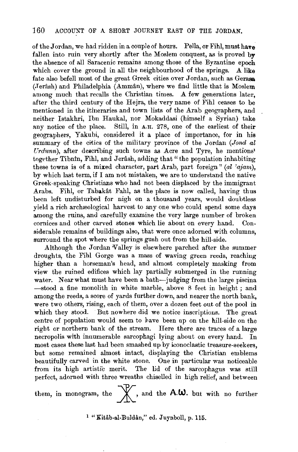of the Jordan, we had ridden in a couple of hours. Pella, or Fihl, must have fallen into ruin very shortly after the Moslem conquest, as is proved by the absence of all Saracenic remains among those of the Byzantine epoch which cover the ground in all the neighbourhood of the springs. A like fate also befell most of the great Greek cities over Jordan, such as Gerasa (.T erash) and Philadelphia (Amman), where we find little that is Moslem among much that recalls the Christian times. A few generations later, after the third century of the Hejra, the very name of Fihl ceases to be mentioned in the itineraries and town lists of the Arab geographers, and neither Istakhri, Ibn Haukal, nor Mokaddasi (himself a Syrian) take any notice of the place. Still, in A.H. 278, one of the earliest of their geographers, Yakubi, considered it a place of importance, for in his summary of the cities of the military province of the Jordan *(Jond al Urdunn*), after describing such towns as Acre and Tyre, he mentions<sup>1</sup> together Tibnin, Fihl, and Jerash, adding that "the population inhabiting" these towns is of a mixed character, part Arab, part foreign" *(al 'ajam),*  by which last term, if I am not mistaken, we are to understand the native Greek-speaking Christians who had not been displaced by the immigrant Arabs. Fihl, or Tabakat Fahl, as the place is now called, having thus been left undisturbed for nigh on a thousand years, would doubtless yield a rich archreological harvest to any one who could spend some days among the ruins, and carefully examine the very large number of broken cornices and other carved stones which lie about on every hand. Considerable remains of buildings also, that were once adorned with columns, surround the spot where the springs gush out from the hill-side.

Although the Jordan Valley is elsewhere parched after the summer droughts, the Fihl Gorge was a mass of waving green reeds, reaching higher than a horseman's head, and almost completely masking from view the ruined edifices which lay partially submerged in the running water. Near what must have been a bath-judging from the large piscina -stood a fine monolith in white marble, above 8 feet in height ; and among the reeds, a score of yards further down, and nearer the north bank, were two others, rising, each of them, over a dozen feet out of the pool in which they stood. But nowhere did we notice inscriptions. The great centre of population would seem to have been up on the hill-side on the right or northern bank of the stream. Here there are traces of a large necropolis with innumerable sarcophagi lying about on every hand. In most cases these last had been smashed up by iconoclastic treasure-seekers, but some remained almost intact, displaying the Christian emblems beautifully carved in the white stone. One in particular was noticeable from its high artistic merit. The lid of the sarcophagus was still perfect, adorned with three wreaths chiselled in high relief, and between

them, in monogram, the  $\sum$ , and the A.W. but with no further

<sup>1</sup> "Kitâb-al-Buldân," ed. Juynboll, p. 115.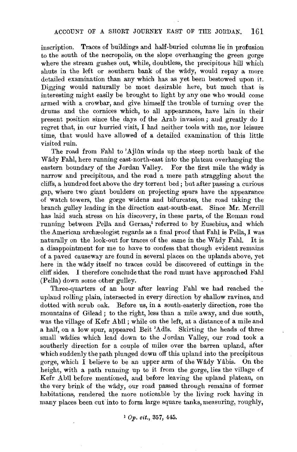inscription. Traces of buildings and half-buried columns lie in profusion to the south of the necropolis, on the slope overhanging the green gorge where the stream gushes out, while, doubtless, the precipitous hill which shuts in the left or southern bank of the wady, would repay a more detailed examination than any which has as yet been bestowed upon it. Digging would naturally be most desirable here, but much that is interesting might easily be brought to light by any one who would come armed with a crowbar, and give himself the trouble of turning over the drums and the cornices which, to all appearances, have lain in their present position since the days of the Arab invasion; and greatly do I regret that, in our hurried visit, I had neither tools with me, nor leisure time, that would have allowed of a detailed examination of this little visited ruin.

The road from Fahl to 'Ajlûn winds up the steep north bank of the Wady Fahl, here running east-north-east into the plateau overhanging the eastern boundary of the Jordan Valley. For the first mile the wady is narrow and precipitous, and the road a mere path straggling about the cliffs, a hundred feet above the dry torrent bed; but after passing a curious gap, where two giant boulders on projecting spurs have the appearance of watch towers, the gorge widens and bifurcates, the road taking the branch gulley leading in the direction east-south-east. Since Mr. Merrill has laid such stress on his discovery, in these parts, of the Roman road running between Pella and Gerasa,<sup>1</sup> referred to by Eusebius, and which the American archaeologist regards as a final proof that Fahl is Pella, I was naturally on the look-out for traces of the same in the Wady Fahl. It is a disappointment for me to have to confess that though evident remains of a paved causeway are found in several places on the uplands above, yet here in the wady itself no traces could be discovered of cuttings in the cliff sides. I therefore conclude that the road must have approached Fahl (Pella) down some other gulley.

Three-quarters of an hour after leaving Fahl we had reached the upland rolling plain, intersected in every direction by shallow ravines, and dotted with scrub oak. Before us, in a south-easterly direction, rose the mountains of Gi1ead; to the right, less than a mile away, and due south, was the village of Kefr Abil; while on the left, at a distance of a mile and a half, on a low spur, appeared Beit 'Adis. Skirting the heads of three small wadies which lead down to the Jordan Valley, our road took a southerly direction for a couple of miles over the barren upland, after which suddenly the path plunged down off this upland into the precipitous gorge, which I believe to be an upper arm of the Wady Yabis. On the height, with a path running up to it from the gorge, lies the village of Kefr Abil before mentioned, and before leaving the upland plateau, on the very brink of the wady, our road passed through remains of former habitations, rendered the more noticeable by the living rock having in many places been cut into to form large square tanks, measuring, roughly,

I Op. *cit.,* 357, 445.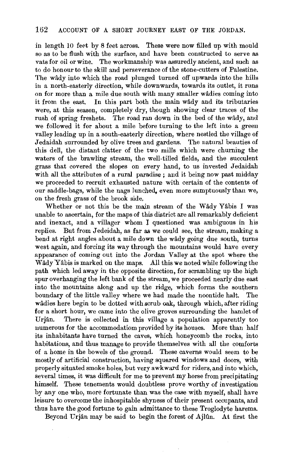in length 10 feet by 8 feet across. These were now filled up with mould so as to be flush with the surface, and have been constructed to serve as vats for oil or wine. The workmanship was assuredly ancient, and such as to do honour to the skill and perseverance of the stone-cutters of Palestine. The wâdy into which the road plunged turned off upwards into the hills in a north-easterly direction, while downwards, towards its outlet, it runs on for more than a mile due south with many smaller wadies coming into it from the east. In this part both the main wady and its tributaries were, at this season, completely dry, though showing clear traces of the rush of spring freshets. The road ran down in the bed of the wady, and we followed it for about a mile before turning to the left into a green valley leading up in a south-easterly direction, where nestled the village of Jedaidah surrounded by olive trees and gardens. The natural beauties of this dell, the distant clatter of the two mills which were churning the waters of the brawling stream, the well-tilled fields, and the succulent grass that covered the slopes on every hand, to us invested Jedaidah with all the attributes of a rural paradise; and it being now past midday we proceeded to recruit exhausted nature with certain of the contents of our saddle-bags, while the nags lunched. even more sumptuously than we, on the fresh grass of the brook side.

Whether or not this be the main stream of the Wady Yabis I was unable to ascertain, for the maps of this district are all remarkably deficient and inexact, and a villager whom I questioned was ambiguous in his replies. But from Jedeidah, as far as we could see, the stream, making a bend at right angles about a mile down the wady going due south, turns west again, and forcing its way through the mountains would have every appearance of coming out into the Jordan Valley at the spot where the Wady Yabis is marked on the maps. All this we noted while following the path which led away in the opposite direction, for scrambling up the high spur overhanging the left bank of the stream, we proceeded nearly due east into the mountains along and up the ridge, which forms the southern boundary of the little valley where we had made the noontide halt. The wadies here begin to be dotted with scrub oak, through which, after riding for a short hour, we came into the olive groves surrounding the hamlet of Urjan. There is collected in this village a population apparently too numerous for the accommodatiom provided by its houses. More than half its inhabitants have turned the caves, which honeycomb the rocks, into habitations, and thus manage to provide themselves with all the comforts of a home in the bowels of the ground. These caverns would seem to be mostly of artificial construction, having squared windows and doors, with properly situated smoke holes, but very awkward for riders, and into which, several times, it was difficult for me to prevent my horse from precipitating himself. These tenements would doubtless prove worthy of investigation by any one who, more fortunate than was the case with myself, shall have leisure to overcome the inhospitable shyness of their present occupants, and thus have the good fortune to gain admittance to these Troglodyte harems.

Beyond Urjân may be said to begin the forest of Ajlûn. At first the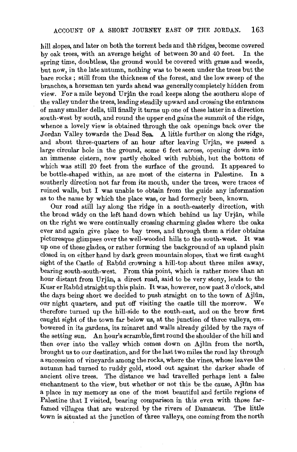hill slopes, and later on both the torrent beds and the ridges, become covered by oak trees, with an average height of between 30 and 40 feet. In the spring time, doubtless, the ground would be covered with grass and weeds, but now, in the late autumn, nothing was to be seen under the trees but the bare rocks ; still from the thickness of the forest, and the low sweep of the branches, a horseman ten yards ahead was generally completely hidden from view. For a mile beyond Urjân the road keeps along the southern slope of the valley under the trees, leading steadily upward and crossing the entrances of many smaller dells, till finally it tums up one of these latter in a direction south-west by south, and round the upper end gains the summit of the ridge, whence a lovely view is obtained through the oak openings back over the Jordan Valley towards the Dead Sea. A little further on along the ridge, and about three-quarters of an hour after leaving Urjân, we passed a large circular hole in the ground, some 6 feet across, opening down into an immense cistern, now partly choked with rubbish, but the bottom of which was still 20 feet from the surface of the ground. It appeared to be bottle-shaped within, as are most of the cisterns in Palestine. In a southerly direction not far from its mouth, under the trees, were traces of ruined walls, but I was unable to obtain from the guide any information as to the name by which the place was, or had formerly been, known.

Our road still lay along the ridge in a south-easterly direction, with the broad wâdy on the left hand down which behind us lay Urjân, while on the right we were continually crossing charming glades where the oaks ever and again give place to bay trees, and through them a rider obtains picturesque glimpses over the well-wooded hills to the south-west. It was up one of these glades, or rather forming the background of an upland plain closed in on either hand by dark green mountain slopes, that we first caught sight of the Castle of Rabûd crowning a hill-top about three miles away, bearing south-south-west. From this point, which is rather more than an hour distant from Urjan, a direct road, said to be very stony, leads to the Kusr er Rabûd straight up this plain. It was, however, now past 3 o'clock, and the days being short we decided to push straight on to the town of Ajlun, our night quarters, and put off visiting the castle till the morrow. We therefore tumed up the hill-side to the south-east, and on the brow first caught sight of the town far below us, at the junction of three valleys, embowered in its gardens, its minaret and walls already gilded by the rays of the setting sun. An hour's scramble, first round the shoulder of the hill and then over into the valley which comes down on Ajlûn from the north, brought us to our destination, and for the last two miles the road lay through a succession of vineyards among the rocks, where the vines, whose leaves the autumn had turned to ruddy gold, stood out against the darker shade of ancient olive trees. The distance we had travelled perhaps lent a false enchantment to the view, but whether or not this be the cause, Ajlûn has a place in my memory as one of the most beautiful and fertile regions of Palestine that I visited, bearing comparison in this even with those farfamed villages that are watered by the rivers of Damascus. The little town is situated at the junction of three valleys, one coming from the north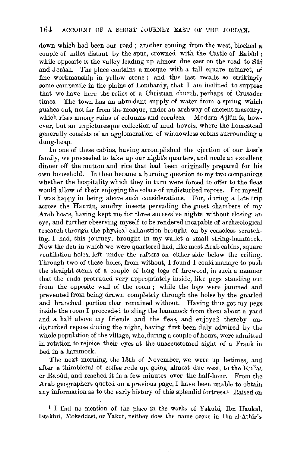down which had been our road ; another coming from the west, blocked a couple of miles distant by the spur, crowned with the Castle of Rabûd: while opposite is the valley leading up almost due east on the road to Suf and Jerash. The place contains a mosque with a tall square minaret, of fine workmanship in yellow stone ; and this last recalls so strikingly some campanile in the plains of Lombardy, that I am inclined to suppose that we have here the relics of a Christian church, perhaps of Crusader times. The town has an abundant supply of water from a spring which gushes out, not far from the mosque, under an archway of ancient masonry, which rises among ruins of columns and cornices. Modern Ajlûn is, however, but an unpicturesque collection of mud hovels, where the homestead generally consists of an agglomeration of windowless cabins surrounding a dung-heap.

In one of these cabins, having accomplished the ejection of our host's family, we proceeded to take up our night's quarters, and made an excellent dinner off the mutton and rice that had been originally prepared for his own household. It then became a burning question to my two companions whether the hospitality which they in turn were forced to offer to the fleas would allow of their enjoying the solace of undisturbed repose. For myself I was happy in being above such considerations. For, during a late trip across the Hauran, sundry insects pervading the guest chambers of my Arab hosts, having kept me for three successive nights without closing an eye, and further observing myself to be rendered incapable of archaeological research through the physical exhaustion brought on by ceaseless scratching, I had, this journey, brought in my wallet a small string-hammock. Now the den in which we were quartered had, like most Arab cabins, square ventilation-holes, left under the rafters on either side below the ceiling. Through two of these holes, from without, I found I could manage to push the straight stems of a couple of long logs of firewood, in such a manner that the ends protruded very appropriately inside, like pegs standing out from the opposite wall of the room ; while the logs were jammed and prevented from being drawn completely through the holes by the gnarled and branched portion that. remained without. Having thus got my pegs inside the room I proceeded to sling the hammock from them about a yard and a half above my friends and the fleas, and enjoyed thereby undisturbed repose during the night, having first been duly admired by the whole population of the village, who, during a couple of hours, were admitted in rotation to rejoice their eyes at the unaccustomed sight of a Frank in bed in a hammock.

The next morning, the 13th of November, we were up betimes, and after a thimbleful of coffee rode up, going almost due west, to the Kul'at er Rabûd, and reached it in a few minutes over the half-hour. From the Arab geographers quoted on a previous page, I have been unable to obtain any information as to the early history of this splendid fortress.' Raised on

<sup>1</sup> I find no mention of the place in the works of Yakubi, Ibn Haukal, Istakhri, Mokaddasi, or Yakut, neither does the name occur in Ibn-el-Athir's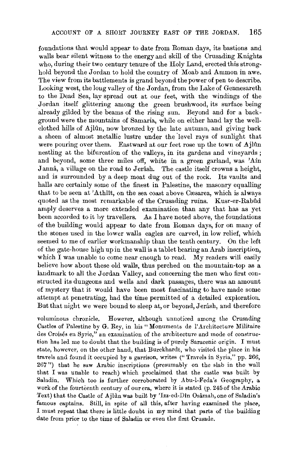foundations that would appear to date from Roman days, its bastions and walls bear silent witness to the energy and skill of the Crusading Knights who, during their two century tenure of the Holy Land, erected this stronghold beyond the Jordan to hold the country of Moab and Ammon in awe. The view from its battlements is grand beyond the power of pen to describe. Looking west, the long valley of the Jordan, from the Lake of Gennesareth to the Dead Sea, lay spread out at our feet, with the windings of the Jordan itself glittering among the green brushwood, its surface being already gilded by the beams of the rising sun. Beyond and for a background were the mountains of Samaria, while on either hand lay the wellclothed hills of Ajlûn, now bronzed by the late autumn, and giving back a sheen of almost metallic lustre under the 'level rays of sunlight that were pouring over them. Eastward at our feet rose up the town of Ajlûn nestling at the bifurcation of the valleys, in its gardens and vineyards ; and beyond, some three miles off, white in a green garland, was 'Ain Janna, a village on the road to Jerash. The castle itself crowns a height, and is surrounded by a deep moat dug out of the rock. Its vaults and halls are certainly some of the finest **in** Palestine, the masonry equalling that to be seen at 'Athlit, on the sea coast above Cæsarea, which is always quoted as the most remarkable of the Crusading ruins. Kusr-er-Rabud amply deserves a more extended examination than any that has as yet been accorded to it by travellers. As I have noted above, the foundations of the building would appear to date from Roman days, for on many of the stones used in the lower walls eagles are carved, in low relief, which seemed to me of earlier workmanship than the tenth century. On the left of the gate-house high up in the wall is a tablet bearing an Arab inscription, which I was unable to come near enough to read. My readers will easily believe how about these old walls, thus perched on the mountain-top as a landmark to all the Jordan Valley, and concerning the men who first constructed its dungeons and wells and dark passages, there was an amount of mystery that it would have been most fascinating to have made some attempt at penetrating, had the time permitted of a detailed exploration. But that night we were bound to sleep at, or beyond, Jerash, and therefore

voluminous chronicle. However, although unnoticed among the Crusading Castles of Palestine by G. Rey, in his "Monuments de l'Architecture Militaire des Croisés en Syrie," an examination of the architecture and mode of construction has led me to doubt that the building is of purely Saracenic origin. I must state, however, on the other hand, that Burckhardt, who visited the place in his travels and found it occupied by a garrison, writes ("Travels in Syria," pp. 266, 267 ") that he saw Arabic inscriptions (presumably on the slab in the wall that I was unable to reach) which proclaimed that the castle was built by Saladin. Which too is further corroborated by Abu-1-Feda's Geography, a work of the fourteenth century of our era, where it is stated (p. 245 of the Arabic Text) that the Castle of Ajlun was built by 'Izz-ed-Din Osamah, one of Saladin's famous captains. Still, in spite of all this, after having examined the place, I must repeat that there is little doubt in my mind that parts of the building date from prior to the time of Saladin or even the firet Crusade.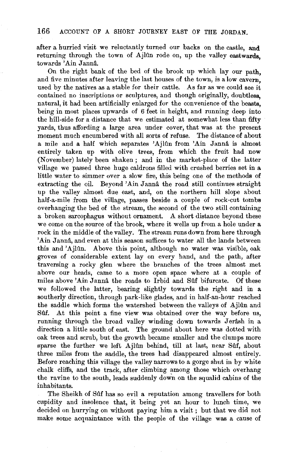after a hurried visit we reluctantly turned our backs on the castle, and returning through the town of Ajlûn rode on, up the valley eastwards, towards 'Ain Jannâ.

On the right bank of the bed of the brook up which lay our path, and five minutes after leaving the last houses of the town, is a low cavern. used by the natives as a stable for their cattle. As far as we could see it contained no inscriptions or sculptures, and though originally, doubtless, natural, it had been artificially enlarged for the convenience of the beasts, being in most places upwards of 6 feet in height, and running deep into the hill-side for a distance that we estimated at somewhat less than fifty yards, thus affording a large area under cover, that was at the present moment much encumbered with all sorts of refuse. The distance of about a mile and a half which separates 'Ajlûn from 'Ain Jannâ is almost entirely taken up with olive trees, from which the fruit had now (November) lately been shaken; and in the market-place of the latter village we passed three huge caldrons filled with crushed berries set in a little water to simmer over a slow fire, this being one of the methods of extracting the oil. Beyond 'Ain Janna the road still continues straight up the valley almost due east, and, on the northern hill slope about half-a-mile from the village, passes beside a couple of rock-cut tombs overhanging the bed of the stream, the second of the two still containing a broken sarcophagus without ornament. A short distance beyond these we come on the source of the brook, where it wells up from a hole under a rock in the middle of the valley. The stream runs down from here through 'Ain Janna, and even at this season suffices to water all the lands between this and 'Ajlûn. Above this point, although no water was visible, oak groves of considerable extent lay on every hand, and the path, after traversing a rocky glen where the branches of the trees almost met above our heads, came to a more open space where at a couple of miles above 'Ain Janna the roads to Irbid and Suf bifurcate. Of these we followed the latter, bearing slightly towards the right and in a southerly direction, through park-like glades, and in half-an-hour reached the saddle which forms the watershed between the valleys of Ajlûn and Suf. At this point a fine view was obtained over the way before us, running through the broad valley winding down towards Jerâsh in a direction a little south of east. The ground about here was dotted with oak trees and scrub, but the growth became smaller and the clumps more sparse the further we left Ajlûn behind, till at last, near Sûf, about three miles from the saddle, the trees had disappeared almost entirely. Before reaching this village the valley narrows to a gorge shut in by white chalk cliffs, and the track, after climbing among those which overhang the ravine to the south, leads suddenly down on the squalid cabins of the inhabitants.

The Sheikh of Suf has so evil a reputation among travellers for both cupidity and insolence that, it being yet an hour to lunch time, we decided on hurrying on without paying him a visit ; but that we did not make some acquaintance with the people of the village was a cause of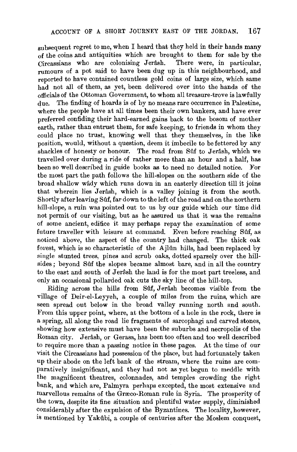subsequent regret to me, when I heard that they held in their hands many of the coins and antiquities which are brought to them for sale by the Circassians who are colonising Jerâsh. There were, in particular, rumours of a pot said to have been dug up in this neighbourhood, and reported to have contained countless gold coins of large size, which same had not all of them, as yet, been delivered over into the hands of the officials of the Ottoman Government, to whom all treasure-trove is lawfully due. The finding of hoards is of by no means rare occurrence in Palestine, where the people have at all times been their own bankers, and have ever preferred confiding their hard-earned gains back to the bosom of mother earth, rather than entrust them, for safe keeping, to friends in whom they could place no trust, knowing well that they themselves, in the like position, would, without a question, deem it imbecile to be fettered by any shackles of honesty or honour. The road from Sûf to Jerâsh, which we travelled over during a ride of rather more than an hour and a half, has been so well described in guide books as to need no detailed notice. For the most part the path follows the hill-slopes on the southern side of the broad shallow wady which runs down in an easterly direction till it joins that wherein lies Jerâsh, which is a valley joining it from the south. Shortly after leaving Suf, far down to the left of the road and on the northern hill-slope, a ruin was pointed out to us by our guide which our time did not permit of our visiting, but as he assured us that it was the remains of some ancient, edifice it may perhaps repay the examination of some future traveller with leisure at command. Even before reaching Sûf, as noticed above, the aspect of the country had changed. The thick oak forest, which is so characteristic of the Ajlûn hills, had been replaced by single stunted trees, pines and scrub oaks, dotted sparsely over the hillsides; beyond Sûf the slopes became almost bare, and in all the country to the east and south of Jerâsh the land is for the most part treeless, and only an occasional pollarded oak cuts the sky line of the hill-top.

Riding across the hills from Suf, Jerash becomes visible from the village of Deir-el-Leyyeh, a couple of miles from the ruins, which are seen spread out below in the broad valley running north and south. From this upper point, where, at the bottom of a hole in the rock, there is a spring, all along the road lie fragments of sarcophagi and carved stones, showing how extensive must have been the suburbs and necropolis of the Roman city. Jerâsh, or Gerasa, has been too often and too well described to require more than a passing notice in these pages. At the time of our visit the Circassians had possession of the place, but had fortunately taken up their abode on the left bank of the stream, where the ruins are comparatively insignificant, and they had not as yet begun to meddle with the magnificent theatres, colonnades, and temples crowding the right bank, and which are, Palmyra perhaps excepted, the most extensive and marvellous remains of the Græco-Roman rule in Syria. The prosperity of the town, despite its fine situation and plentiful water supply, diminished considerably after the expulsion of the Byzantines. The locality, however, is mentioned by Yakftbi, a couple of centuries after the Moslem conquest,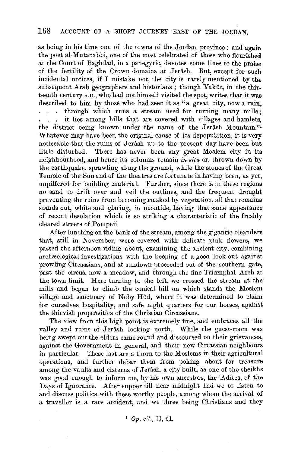as being in his time one of the towns of the Jordan province : and again the poet al-Mutanabbi, one of the most celebrated of those who flourished at the Court of Baghdad, in a panegyric, devotes some lines to the praise of the fertility of the Crown domains at Jerâsh. But, except for such incidental notices, if I mistake not, the city is rarely mentioned by the subsequent Arab geographers and historians; though Yakût, in the thirteenth century A.D., who had not himself visited the spot, writes that it was described to him by those who had seen it as "a great city, now a ruin,

 $\ldots$  through which runs a stream used for turning many mills; it lies among hills that are covered with villages and hamlets,  $\mathbf{r}$  and  $\mathbf{r}$ the district being known under the name of the Jerâsh Mountain."<sup>1</sup> Whatever may have been the original cause of its depopulation, it is very noticeable that the ruins of Jerâsh up to the present day have been but little disturbed. There has never been any great Moslem city in its neighbourhood, and hence its columns remain *in situ* or, thrown down by the earthquake, sprawling along the ground, while the stones of the Great Temple of the Sun and of the theatres are fortunate in having been, as yet, unpilfered for building material. Further, since there is in these regions no sand to drift over and veil the outlines, and the frequent drought preventing the ruins from becoming masked by vegetation, all that remains stands out, white and glaring, in noontide, having that same appearance of recent desolation which is so striking a characteristic of the freshly cleared streets of Pompeii.

After lunching on the bank of the stream, among the gigantic oleanders that, still in November, were covered with delicate pink flowers, we passed the afternoon riding about, examining the ancient city, combining archæological investigations with the keeping of a good look-out against prowling Circassians, and at sundown proceeded out of the southern gate, past the circus, now a meadow, and through the fine Triumphal Arch at the town limit. Here turning to the left, we crossed the stream at the mills and began to climb the conical hill on which stands the Moslem village and sanctuary of Neby Hûd, where it was determined to claim for ourselves hospitality, and safe night quarters for our horses, against the thievish propensities of the Christian Circassians.

The view from this high point is extremely fine, and embraces all the valley and ruins of Jerâsh looking north. While the guest-room was being swept out the elders came round and discoursed on their grievances, against the Government in general, and their new Circassian neighbours in particular. These last are a thorn to the Moslems in their agricultural operations, and further debar them from poking about for treasure among the vaults and cisterns of Jerash, a city built, as one of the sheikhs was good enough to inform me, by his own ancestors, the 'Adites, of the Days of Ignorance. After supper till near midnight had we to listen to and discuss politics with these worthy people, among whom the arrival of a traveller is a rare accident, and we three being Christians and they

I *Op.* cif., II, 61.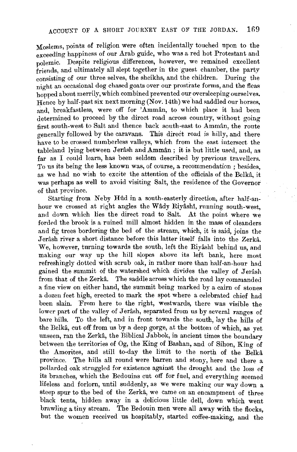:Moslems, points of religion were often incidentally touched upon to the exceeding happiness of our Arab guide, who was a red hot Protestant and polemic. Despite religious differences, however, we remained excellent friends, and ultimately all slept together in the guest chamber, the party consisting of our three selves, the sheikhs, and the children. During the night an occasional dog chased goats over our prostrate forms, and the fleas hopped about merrily, which combined prevented our oversleeping ourselves. Hence by half-past six next morning (Nov. 14th) we had saddled our horses, and, breakfastless, were off for 'Amman, to which place it had been determined to proceed by the direct road across country, without going first south-west to Salt and thence back south-east to Ammân, the route generally followed by the caravans. This direct road is hilly, and there have to be crossed numberless valleys, which from the east intersect the tableland lying between Jerâsh and Ammân; it is but little used, and, as far as I could learn, has been seldom described by previous travellers. To us its being the less known was, of course, a recommendation ; besides, as we had no wish to excite the attention of the officials of the Belka, it was perhaps as well to avoid visiting Salt, the residence of the Governor of that province.

Starting from Neby Hud in a south-easterly direction, after half-anhour we crossed at right angles the Wady Riyashi, running south-west, and down which lies the direct road to Salt. At the point where we forded the brook is a ruined mill almost hidden in the mass of oleanders and fig trees bordering the bed of the stream, which, it is said, joins the Jerâsh river a short distance before this latter itself falls into the Zerkâ. We, however, turning towards the south, left the Riyashi behind us, and making our way up the hill slopes above its left bank, here most refreshingly dotted with scrub oak, in rather more than half-an-hour had gained the summit of the watershed which divides the valley of Jerâsh from that of the Zerka. The saddle across which the road lay commanded a fine view on either hand, the summit being marked by a cairn of stones a dozen feet high, erected to mark the spot where a celebrated chief had been slain. From here to the right, westwards, there was visible the lower part of the valley of Jerâsh, separated from us by several ranges of bare hills. To the left, and in front towards the south, lay the hills of the Belkâ, cut off from us by a deep gorge, at the bottom of which, as yet unseen, ran the Zerkâ, the Biblical Jabbok, in ancient times the boundary between the territories of Og, the King of Bashan, and of Sihon, King of the Amorites, and still to-day the limit to the north of the Belka province. The hills all round were barren and stony, here and there a pollarded oak struggled for existence against the drought and the loss of its branches, which the Bedouins cut off for fuel, and everything seemed lifeless and forlorn, until suddenly, as we were making our way down a steep spur to the bed of the Zerka, we came on an encampment of three black tents, hidden away in a delicious little dell, down which went brawling a tiny stream. The Bedouin men were all away with the flocks, but the women received us hospitably, started coffee-making, and the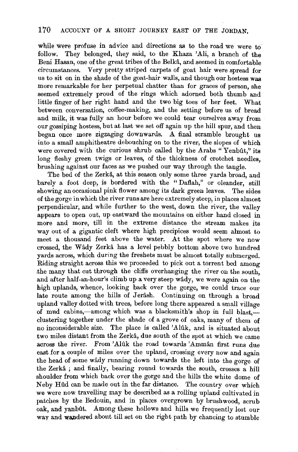## 170 ACCOUNT OF A SHORT JOURNEY EAST OF THE JORDAN.

while were profuse in advice and directions as to the road we were to follow. They belonged, they said, to the Khaza 'Ali, a branch of the Beni Hasan, one of the great tribes of the Belka, and seemed in comfortable circumstances. Very pretty striped carpets of goat hair were spread for us to sit on in the shade of the goat-hair walls, and though our hostess was more remarkable for her perpetual chatter than for graces of person, she seemed extremely proud of the rings which adorned both thumb and little finger of her right hand and the two big toes of her feet. What between conversation, coffee-making, and the setting before us of bread and milk, it was fully an hour before we could tear ourselves away from our gossiping hostess, but at last we set off again up the hill spur, and then began once more zigzaging downwards. A final scramble brought us into a small amphitheatre debouching on to the river, the slopes of which were covered with the curious shrub called by the Arabs "Yenbût," its long fleshy green twigs or leaves, of the thickness of crotchet needles. brushing against our faces as we pushed our way through the tangle.

The bed of the Zerka, at this season only some three yards broad, and barely a foot deep, is bordered with the "Daflah," or oleander, still showing an occasional pink flower among its dark green leaves. The sides of the gorge in which the river runs are here extremely steep, in places almost perpendicular, and while further to the west, down the river, the valley appears to open out, up eastward the mountains on either hand closed in more and more, till in the extreme distance the stream makes its way out of a gigantic cleft where high precipices would seem almost to meet a thousand feet above the water. At the spot where we now crossed, the Wâdy Zerkâ has a level pebbly bottom above two hundred yards across, which during the freshets must be almost totally submerged. Riding straight across this we proceeded to pick out a torrent bed among .the many that cut through the cliffs overhanging the river on the south, and after half-an-hour's climb up a very steep wady, we were again on the high uplands, whence, looking back over the gorge, we could trace our late route among the hills of Jerash. Continuing on through a broad upland valley dotted with trees, before long there appeared a small village of mud cabins,-among which was a blacksmith's shop in full blast,clustering together under the shade of a grove of oaks, many of them of no inconsiderable size. The place is called 'Alûk, and is situated about two miles distant from the Zerka, due south of the spot at which we came across the river. From 'Alûk the road towards 'Ammân first runs due east for a couple of miles over the upland, crossing every now and again the head of some wâdy running down towards the left into the gorge of the Zerkâ; and finally, bearing round towards the south, crosses a hill shoulder from which back over the gorge and the hills the white dome of Neby Hud can be made out in the far distance. The country over which we were now travelling may be described as a rolling upland cultivated in patches by the Bedouin, and in places overgrown by brushwood, scrub oak, and vanbut. Among these hollows and hills we frequently lost our way and wandered about till set on the right path by chancing to stumble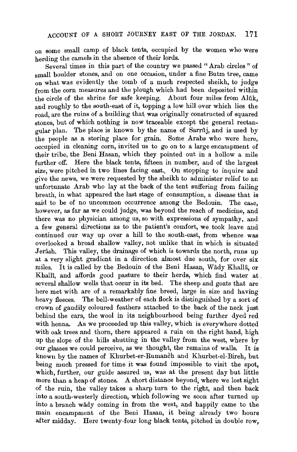on some small camp of black tents, occupied by the women who were herding the camels in the absence of their lords.

Several times in this part of the country we passed "Arab circles " of small boulder stones, and on one occasion, under a fine Butm tree, came on what was evidently the tomb of a much respected sheikh, to judge from the corn measures and the plough which had been deposited within the circle of the shrine for safe keeping. About four miles from Aluk, and roughly to the south-east of it, topping a low hill over which lies the road, are the ruins of a building that was originally constructed of squared stones, but of which nothing is now traceable except the general rectangular plan. The place is known by the name of Sarrftj, and is used by the people as a storing place for grain. Some Arabs who were here, occupied in cleaning corn, invited us to go on to a large encampment of their tribe, the Beni Hasan, which they pointed out in a hollow a mile further off. Here the black tents, fifteen in number, and of the largest size, were pitched in two lines facing east. On stopping to inquire and give the news, we were requested by the sheikh to administer relief to an unfortunate Arab who lay at the back of the tent suffering from failing breath, in what appeared the last stage of consumption, a disease that is said to be of no uncommon occurrence among the Bedouin. The case, however, as far as we could judge, was beyond the reach of medicine, and there was no physician among us, so with expressions of sympathy, and a few general directions as to the patient's comfort, we took leave and continued our way up over a hill to the south-east, from whence was overlooked a broad shallow valley, not unlike that in which is situated Jerâsh. This valley, the drainage of which is towards the north, runs up at a very slight gradient in a direction almost due south, for over six miles. It is called by the Bedouin of the Beni Hasan, Wady Khalla, or Khallî, and affords good pasture to their herds, which find water at several shallow wells that occur in its bed. The sheep and goats that are here met with are of a remarkably fine breed, large in size and having heavy fleeces. The bell-weather of each flock is distinguished by a sort of crown of gaudily coloured feathers attached to the back of the neck just behind the ears, the wool in its neighbourhood being further dyed red with henna. As we proceeded up this valley, which is everywhere dotted with oak trees and thorn, there appeared a ruin on the right hand, high up the slope of the hills shutting in the valley from the west, where by our glasses we could perceive, as we thought, the remains of walls. It is known by the names of Khurbet-er-Rumaneh and Khurbet-el-Bireh, but being much pressed for time it was found impossible to visit the spot, which, further, our guide assured us, was at the present day but little more than a heap of stones. A short distance beyond, where we lost sight of the ruin, the valley takes a sharp turn to the right, and then back into a south-westerly direction, which following we soon after turned up into a branch wâdy coming in from the west, and happily came to the main encampment of the Beni Hasan, it being already two hours after midday. Here twenty-four long black tents, pitched in double row,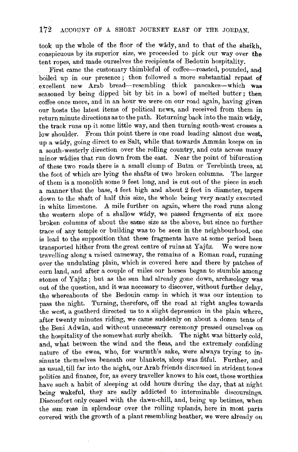## 172 ACCOUNT OF A SHORT JOURNEY EAST OF THE JORDAN.

took up the whole of the floor of the wady, and to that of the sheikh, conspicuous by its superior size, we proceeded to pick our way over the tent ropes, and made ourselves the recipients of Bedouin hospitality.

First came the customary thimbleful of coffee-roasted, pounded, and boiled up in our presence; then followed a more substantial repast of excellent new Arab bread-resembling thick pancakes-which was seasoned by being dipped bit by bit in a bowl of melted butter ; then coffee once more, and in an hour we were on our road again, having given our hosts the latest items of political news, and received from them in return minute directions as to the path. Returning back into the main wady, the track runs up it some little way, and then turning south-west crosses a low shoulder. From this point there is one road leading almost due west, up a wâdy, going direct to es Salt, while that towards Ammân keeps on in a south-westerly direction over the rolling country, and cuts across many minor wadies that run down from the east. Near the point of bifurcation of these two roads there is a small clump of Butm or Terebinth trees, at the foot of which are lying the shafts of two broken columns. The larger of them is a monolith some 9 feet long, and is cut out of the piece in such a manner that the base, 4 feet high and about 2 feet in diameter, tapers down to the shaft of half this size, the whole being very neatly executed in white limestone. A mile further on again, where the road runs along the western slope of a shallow wady, we passed fragments of six more broken columns of about the same size as the above, but since no further trace of any temple or building was to be seen in the neighbourhood, one is lead to the supposition that these fragments have at some period been transported hither from the great centre of ruins at Yajûz. We were now travelling along a raised causeway, the remains of a Roman road, running *over* the undulating plain, which is covered here and there by patches of corn land, and after a couple of miles our horses began to stumble among stones of Yajûz; but as the sun had already gone down, archeology was out of the question, and it was necessary to discover, without further delay, the whereabouts of the Bedouin camp in which it was our intention to pass the night. Turning, therefore, off the road at right angles towards the west, a goatherd directed us to a slight depression in the plain where, after twenty minutes riding, we came suddenly on about a dozen tents of the Beni Adwân, and without unnecessary ceremony pressed ourselves on the hospitality of the somewhat surly sheikh. The night was bitterly cold, and, what between the wind and the fleas, and the extremely confiding nature of the ewes, who, for warmth's sake, were always trying to insinuate themselves beneath our blankets, sleep was fitful. Further, and as usual, till far into the night, our Arab friends discussed in strident tones politics and finance, for, as every traveller knows to his cost, these worthies have such a habit of sleeping at odd hours during the day, that at night being wakeful, they are sadly addicted to interminable discoursings. Discomfort only ceased with the dawn-chill, and, being up betimes, when the sun rose in splendour over the rolling uplands, here in most parts covered with the growth of a plant resembling heather, we were already on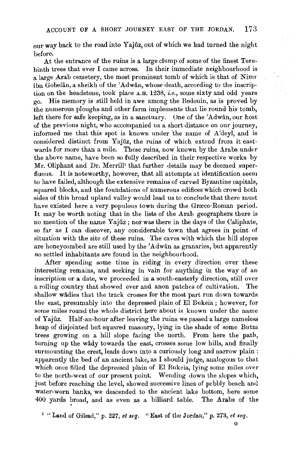our way back to the road into Yajûz, out of which we had turned the night before.

At the entrance of the ruins is a large clump of some of the finest Terebinth trees that ever I came across. In their immediate neighbourhood is a large Arab cemetery, the most prominent tomb of which is that of Nimr ibn Gobelân, a sheikh of the 'Adwân, whose death, according to the inscription on the headstone, took place A.H. 1238, *i.e.,* some sixty and odd years go. His memory is still held in awe among the Bedouin, as is proved by ·the numerous ploughs and other farm implements that lie round his tomb, left there for safe keeping, as in a sanctuary. One of the 'Adwân, our host of the previous night, who accompanied us a short distance on our journey, informed me that this spot is known under 'the name of A'deyl, and is considered distinct from Yajûz, the ruins of which extend from it eastwards for more than a mile. These ruins, now known by the Arabs under the above name, have been so fully described in their respective works by Mr. Oliphant and Dr. Merrill<sup>1</sup> that further details may be deemed superfluous. It is noteworthy, however, that all attempts at identification seem to have failed, although the extensive remains of carved Byzantine capitals, squared blocks, and the foundations of numerous edifices which crowd both sides of this broad upland valley would lead us to conclude that there must have existed here a very populous town during the Græco-Roman period. It may be worth noting that in the lists of the Arab geographers there is no mention of the name Yajûz; nor was there in the days of the Caliphate, so far as I can discover, any considerable town that agrees in point of situation with the site of these ruins. The caves with which the hill slopes are honeycombed are still used by the 'Adwân as granaries, but apparently no settled inhabitants are found in the neighbourhood.

After spending some time in riding in every direction over these interesting remains, and seeking in vain for anything in the way of an inscription or a date, we proceeded in a south-easterly direction, still over a rolling country that showed ever and anon patches of cultivation. The shallow wâdies that the track crosses for the most part run down towards the east, presumably into the depressed plain of El Bukeia ; however, for some miles round the whole district here about is known under the name of Yajûz. Half-an-hour after leaving the ruins we passed a large nameless heap of disjointed but squared masonry, lying in the shade of some Butm trees growing on a hill slope facing the north. From here the path, turning up the wâdy towards the east, crosses some low hills, and finally surmounting the crest, leads down into a curiously long and narrow plain : apparently the bed of an ancient lake, as I should judge, analogous to that which once filled the depressed plain of El Bukeia, lying some miles over to the north-west of our present point. Wending down the slopes which, just before reaching the level, showed successive lines of pebbly beach and water-worn banks, we descended to the ancient lake bottom, here some 400 yards broad, and as even as a billiard table. The Arabs of the

1 "Land of Gilead," p. 227, *et seq.* "East of the Jordan," p. 273, *et seq.* 

 $\Omega$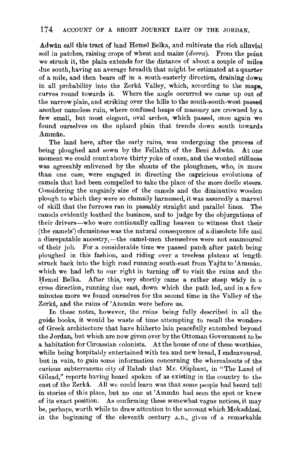Adwan call this tract of land Hemel Belka, and cultivate the rich alluvial soil in patches, raising crops of wheat and maize *(durra).* From the point we struck it, the plain extends for the distance of about a couple of miles due south, having an average breadth that might be estimated at a quarter of a mile, and then bears off in a south-easterly direction, draining down in all probability into the Zerkâ Valley, which, according to the maps, curves round towards it. Where the angle occurred we came up out of the narrow plain, and striking over the hills to the south-south-west passed another nameless ruin, where confused heaps of masonry are crowned by a few small, but most elegant, oval arches, which passed, once again we found ourselves on the upland plain that trends down south towards Amman.

The land here, after the early rains, was undergoing the process of being ploughed and sown by the Fellahin of the Beni Adwân. At one moment we could count above thirty yoke of oxen, and the wonted stillness was agreeably enlivened by the shouts of the ploughmen, who, in more than one case, were engaged in directing the capricious evolutions of camels that had been compelled to take the place of the more docile steers. Considering the ungainly size of the camels and the diminutive wooden plough to which they were so clumsily harnessed, it was assuredly a marvel of skill that the furrows ran in passably straight and parallel lines. The camels evidently loathed the business, and to judge by the objurgations of their drivers-who were continually calling heaven to witness that their (the camels') clumsiness was the natural consequence of a dissolute life and a disreputable ancestry,-the camel-men themselves were not enamoured of their job. For a considerable time we passed patch after patch being ploughed in this fashion, and riding over a treeless plateau at length struck back into the high road running south-east from Yajúz to 'Amman, which we had left to our right in turning off to visit the ruins and the Heniel Belka. After this, very shortly came a rather steep wady in a cross direction, running due east, down which the path led, and in a few minutes more we found ourselves for the seeond time in the Valley of the Zerkâ, and the ruins of 'Ammân were before us.

In these notes; however, the ruins being fully described in all the guide books, it would be waste of time attempting to recall the wonders of Greek architecture that have hitherto lain peacefully entombed beyond the Jordan, but which are now given over by the Ottoman Government to be a habitation for Circassian colonists. At the house of one of these worthies, while being hospitably entertained with tea and new bread, I endeavoured, but in vain, to gain some information concerning the whereabouts of the curious su bterraneau city of Rahab that Mr. Oliphant, in "The Land of Gilead," reports having heard spoken of as existing in the country to the east of the Zerkâ. All we could learn was that some people had heard tell in stories of this place, but no one at 'Amman had seen the spot or knew of its exact position. As confirming these somewhat vague notices, it may be, perhaps, worth while to draw attention to the account which Mokaddasi, in the beginning of the eleventh century A.D., gives of a remarkable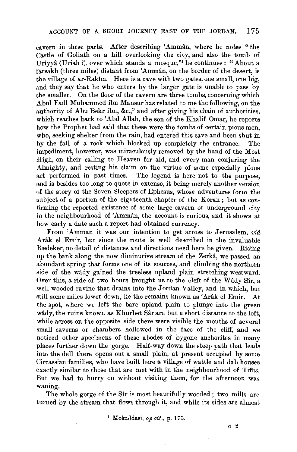cavern in these parts. After describing 'Amman, where he notes "the Castle of Goliath on a hill overlooking the city, and also the tomb of Uriyyli (Uriah ?), over which stands a mosque,''1 he continues: "About a farsakh (three miles) distant from 'Amman, on the border of the desert, is the village of ar-Raklm. Here is a cave with two gates, one small, one big, and they say that he who enters by the larger gate is unable to pass by the smaller. On the floor of the cavern are three tombs, concerning which Abul Fadl Muhammed ibn Mansur has related to me the following, on the authority of Abu Bekr ibn, &c.," and after giving his chain of authorities, which reaches back to 'Abd Allah, the son of the Khalif Omar, he reports how the Prophet had said that these were the tombs of certain pious men, who, seeking shelter from the rain, had entered this cave and been shut in by the fall of a rock which blocked up completely the entrance. The impediment, however, was miraculously removed by the hand of the Most High, on their calling to Heaven for aid, and every man conjuring the Almighty, and resting his claim on the virtue of some especially pious act performed in past times. The legend is here not to the purpose, and is besides too long to quote in extenso, it being merely another version of the story of the Seven Sleepers of Ephesus, whose adventures form the subject of a portion of the eighteenth chapter of the Koran ; but as confirming the reported existence of some large cavern or underground city in the neighbourhood of 'Amman, the account is curious, and it shows at how early a date such a report had obtained currency.

From 'Amman it was our intention to get across to Jerusalem, via Arak el Emir, but since the route is well described in the invaluable Exedeker, no detail of distances and directions need here be given. Riding up the bank along the now diminutive stream of the Zerka, we passed an abundant spring that forms one of its sources, and climbing the northern side of the wady gained the treeless upland plain stretching westward. Over this, a ride of two hours brought us to the cleft of the Wady Sir, a well-wooded ravine that drains into the Jordan Valley, and in which, but still some miles lower down, lie the remains known as 'Arâk el Emir. At the spot, where we left the bare upland plain to plunge into the green wâdy, the ruins known as Khurbet Sâr are but a short distance to the left, while across on the opposite side there were visible the mouths of several small caverns or chambers hollowed in the face of the cliff, and we noticed other specimens of these abodes of bygone anchorites in many places further down the gorge. Half-way down the steep path that leads into the dell there opens out a small plain, at present occupied by some Circassian families, who have built here a village of wattle and dab houses exactly similar to those that are met with in the neighbourhood of Tiflis. But we had to hurry on without visiting them, for the afternoon was waning.

The whole gorge of the Sir is most beautifully wooded ; two mills are turned by the stream that flows through it, and while its sides are almost

<sup>1</sup> Mokaddasi, op cit., p. 175.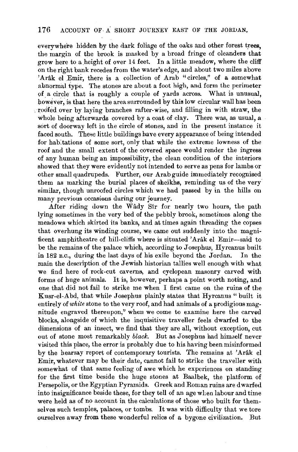everywhere hidden by the dark foliage of the oaks and other forest trees, the margin of the brook is masked by a broad fringe of oleanders that grow here to a height of over 14 feet. In a little meadow, where the cliff on the right bank recedes from the water's edge, and about two miles above 'Arâk el Emir, there is a collection of Arab "circles," of a somewhat abnormal type. The stones are about a foot high, and form the perimeter of. a circle that is roughly a couple of yards across. What is unusual, however, is that here the area surrounded by this low circular wall has been . rodfed over by laying branches rafter-wise, and filling in with straw, the whole being afterwards covered by a coat of clay. There was, as usual, a sort of doorway left in the circle of stones, and in the present instance it faced south. These little buildings have every appearance of being intended for hab:tations of some sort, only that while the extreme lowness of the roof and the small extent of the covered space would render the ingress of any human being an impossibility, the clean condition of the interiors showed that they were evidently not intended to serve as pens for lambs or other small quadrupeds. Further, our Arab guide immediately recognised them as marking the burial places of sheikhs, reminding us of the very similar, though unroofed circles which we had passed by in the hills on many previous occasions during our journey.

After riding down the Wady Sir for nearly two hours, the path lying sometimes in the very bed of the pebbly brook, sometimes along the meadows which skirted its banks, and at times again threading the copses that overhung its winding course, we came out suddenly into the magnificent amphitheatre of hill-cliffs where is situated 'Arak el Emir-said to be the remains of the palace which, according to Josephus, Hyrcanus built in 182 B.c., during the last days of his exile beyond the Jordan. In the main the description of the Jewish historian tallies well enough with what we find here of rock-cut caverns, and cyclopean masonry carved with forms of huge animals. It is, however, perhaps a point worth noting, and one that did not fail to strike me when I first came on the ruins of the Kusr-el-Abd, that while Josephus plainly states that Hyrcanus "built it entirely of *white* stone to the very roof, and had animals of a prodigious magnitude engraved thereupon," when we come to examine here the carved blocks, alongside of which the inquisitive traveller feels dwarfed to the dimensions of an insect, we find that they are all, without exception, cut out of stone most remarkably *black.* But as Josephus had himaelf never visited this place, the error is probably due to his having been misinformed by the hearsay report of contemporary tourists. The remains at 'Arak el Emir, whatever may be their date, cannot fail to strike the traveller with somewhat of that same feeling of awe which he experiences on standing for the first time beside the huge stones at Baalbek, the platform of Persepolis, or the Egyptian Pyramids. Greek and Roman ruins are dwarfed into insignificance beside these, for they tell of an age when labour and time were held as of no account in the calculations of those who built for themselves such temples, palaces, or tombs. It was with difficulty that we tore ourselves away from these wonderful relics of a bygone civilization. But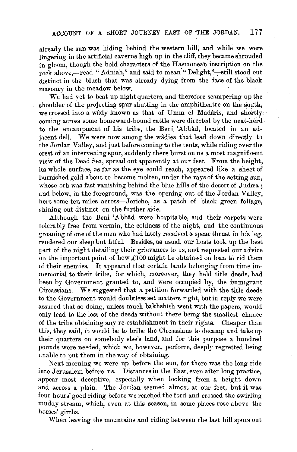already the sun was hiding behind the western hill; and while we were lingering in the artificial caverns high up in the cliff, they became shrouded in gloom, though the bold characters of the Hasmonean inscription on the rock above,--read " Adniah," and said to mean "Delight,"-still stood out distinct in the blush that was already dying from the face of the black masonry in the meadow below.

We had yet to beat up night quarters, and therefore scampering up the shoulder of the projecting spur shutting in the amphitheatre on the south, we crossed into a wâdy known as that of Umm el Madâris, and shortly. coming across some homeward-bound cattle were directed by the neat-herd to the encampment of his tribe, the Beni 'Abbad, located in an adjacent dell. We were now among the wadies that lead down directly to the Jordan Valley, and just before coming to the tents, while riding over the crest of an intervening spur, suddenly there burst on us a most magnificent view of the Dead Sea, spread out apparently at our feet. From the height, its whole surface, as far as the eye could reach, appeared like a sheet of lurnished gold about to become molten, under the rays of the setting sun, whose orb was fast vanishing behind the blue hills of the desert of Judæa; and below, in the foreground, was the opening out of the Jordan Valley, here some ten miles across-Jericho, as a patch of black green foliage, shining out distinct on the further side.

Although the Beni 'Abbâd were hospitable, and their carpets were tolerably free from vermin, the coldness of the night, and the continuous groaning of one of the men who had lately received a spear thrust in his leg, rendered our sleep but fitful. Besides, as usual, our hosts took up the best part of the night detailing their grievances to us, and requested our advice on the important point of how  $\pounds 100$  might be obtained on loan to rid them of their enemies. It appeared that certain lands belonging from time immemorial to their tribe, for which, moreover, they held title deeds, had been by Government granted to, and were occupied by, the immigrant Circassians. We suggested that a petition forwarded with the title deeds to the Government would doubtless set matters right, but in reply we were assured that so doing, unless much bakhshish went with the papers, would only lead to the loss of the deeds without there being the smallest chance of the tribe obtaining any re-establishment in their rights. Cheaper than this, they said, it would be to bribe the Circassians to decamp and take up their quarters on somebody else's land, and for this purpose a hundred pounds were needed, which we, however, perforce, deeply regretted being unable to put them in the way of obtaining.

Next morning we were up before the sun, for there was the long ride into Jerusalem before us. Distances in the East, even after long practice, appear most deceptive, especially when looking from a height down and across a plain. The Jordan seemed almost at our feet, but it was four hours' good riding before we reached the ford and crossed the swirling muddy stream, which, even at this season, in some places rose above the horses' girths.

When leaving the mountains and riding between the last hill spurs out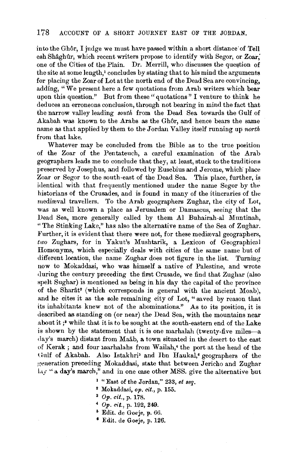into the Ghôr, I judge we must have passed within a short distance of Tell esh Shâghûr, which recent writers propose to identify with Segor, or Zoar. one of the Cities of the Plain. Dr. Merrill, who discusses the question of the site at some length,<sup>1</sup> concludes by stating that to his mind the arguments for placing the Zoar of Lot at the north end of the Dead Sea are convincing; adding, "We present here a few quotations from Arab writers which bear upon this question." But from these " quotations" I venture to think he deduces an erroneons conclusion, through not bearing in mind the fact that the narrow valley leading *south* from the Dead Sea towards the Gulf of Akabah was known to the Arabs as the Gh6r, and hence bears the same name as that applied by them to the Jordan Valley itself running up *north*  from that lake.

Whatever may be concluded from the Bible as to the true position of the Zoar of the Pentateuch, a careful examination of the Arab geographers leads me to conclude that they, at least, stuck to the traditions preserved by Josephus, and followed by Eusebius and Jerome, which place Zoar or Segor to the south-east of the Dead Sea. This place, further, is identical with that frequently mentioned under the name Segor by the historians of the Crusades, and is found in many of the itineraries of the mediæval travellers. To the Arab geographers Zughar, the city of Lot, was as well known a place as Jerusalem or Damascus, seeing that the Dead Sea, more generally called by them Al Buhairah-al Muntinah, "The Stinking Lake," has also the alternative name of the Sea of Zughar. Further, it is evident that there were not, for these mediaval geographers, *two* Zughars, for in Yakut's Mushtarik, a Lexicon of Geographical Homonyms, which especially deals with cities of the same name but of different location, the name Zughar does not figure in the list. Turning now to Mokaddasi, who was himself a native of Palestine, and wrote during the century preceding the first Crusade, we find that Zughar (also spelt Sughar) is mentioned as being in his day the capital of the province of the Sharat<sup>2</sup> (which corresponds in general with the ancient Moab), and he cites it as the sole remaining city of Lot, "saved by reason that its inhabitants knew not of the abominations." As to its position, it is described as standing on (or near) the Dead Sea, with the mountains near about it ;• while that it is to be sought at the south-eastern end of the Lake is shown by the statement that it is one marhalah (twenty-five miles-a day's march) distant from Maab, a town situated in the desert to the east of Kerak; and four marhalahs from Wailah,<sup>4</sup> the port at the head of the Gulf of Akabah. Also Istakhri• and Ibn Haukal,• geographers of the generation preceding Mokaddasi, state that between Jericho and Zughar lay "a day's march," and in one case other MSS. give the alternative but

1 "East of the Jordan," 233, *et seq.* 

• Mokaddasi, *op. cit.,* p. 155. 3 Op. *cit.,* p. 178.

4 Op. *cit.,* p. 192, 249. 6 Edit. de Goeje, p. 66. 6 Edit. de Goeje, p. 126.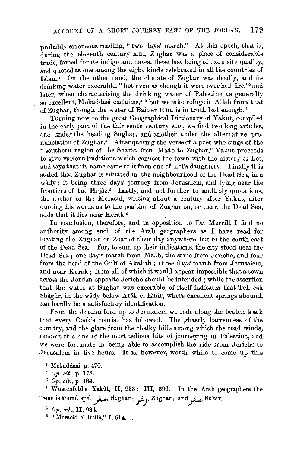probably erroneous reading, " two days' march." At this epoch, that is, during the eleventh century A.D., Zughar was a place of considerable trade, famed for its indigo and dates, these last being of exquisite quality, and quoted as one among the eight kinds celebrated in all the countries of Islam.' On the other hand, the climate of Zughar was deadly, and its drinking water execrable, "hot even as though it were over hell fire,"2 and later, when characterising the drinking water of Palestine as generally so excellent, Mokaddasi exclaims,• "but we take refuge in Allah from that of Zughar, though the water of Bait-er-Ram is in truth bad enough."

Turning now to the great Geographical Dictionary of Yakut, compiled in the early part of the thirteenth century A.D., we find two long articles, one under the heading Sughar, and another under the alternative pronunciation of Zughar.• After quoting the verse of a poet who sings of the " southern region of the Sharat from Maah to Zughar," Yakut proceeds to give various traditions which connect the town with the history of Lot, and says that its name came to it from one of Lot's daughters. Finally it is stated that Zughar is situated in the neighbourhood of the Dead Sea, in a wady; it being three days' journey from Jerusalem, and lying near the frontiers of the Hejâz.<sup>5</sup> Lastly, and not further to multiply quotations, the author of the Meracid, writing about a century after Yakut, after quoting his words as to the position of Zughar on, or near, the Dead Sea, adds that it lies near Kerak.•

In conclusion, therefore, and in opposition to Dr. Merrill, I find no authority among such of the Arab geographers as I have read for locating the Zughar or Zoar of their day anywhere but to the south-east of the Dead Sea. For, to sum up their indications, the city stood near the Dead Sea; one day's march from Maab, the same from Jericho, and four from the head of the Gulf of Akabah; three days' march from Jerusalem, and near Kerak; from all of which it would appear impossible that a town across the Jordan opposite Jericho should be intended ; while the assertion that the water at Sughar was execrable, of itself indicates that Tell esh Shâgûr, in the wâdy below Arâk el Emir, where excellent springs abound, can hardly be a satisfactory identification.

From the Jordan ford up to Jerusalem we rode along the beaten track that every Cook's tourist has followed. The ghastly barrenness of the country, and the glare from the chalky hills among which the road winds, renders this one of the most tedious bits of journeying in Palestine, and we were fortunate in being able to accomplish the ride from Jericho to Jerusalem in five hours. It is, however, worth while to come up this

- <sup>1</sup> Mokaddasi, p. 470.
- Op. *cit.,* p. 178.
- 

<sup>2</sup> 2<sup>2</sup> 2<sup>3</sup> 2<sup>3</sup> 2<sup>3</sup> 2<sup>4</sup> 2<sup>4</sup> 2<sup>4</sup> Wustenfeld's Yakitt, II, 933; III, 396. In the Arab geographers the <sup>4</sup> Wustenfeld's Yakût, II, 933; III, 396. In the Arab geo<br>ame is found spelt ..., Sughar; ... Zughar; and ..., Sukar. name is found spelt منغر Sughar ; <sub>زغر</sub>, Zughar ; and منغر, Sukar.<br><sup>5</sup> Op. cit., II, 934.<br><sup>6</sup> "Meracid-el-Ittilâ," I, 514.

- 
-